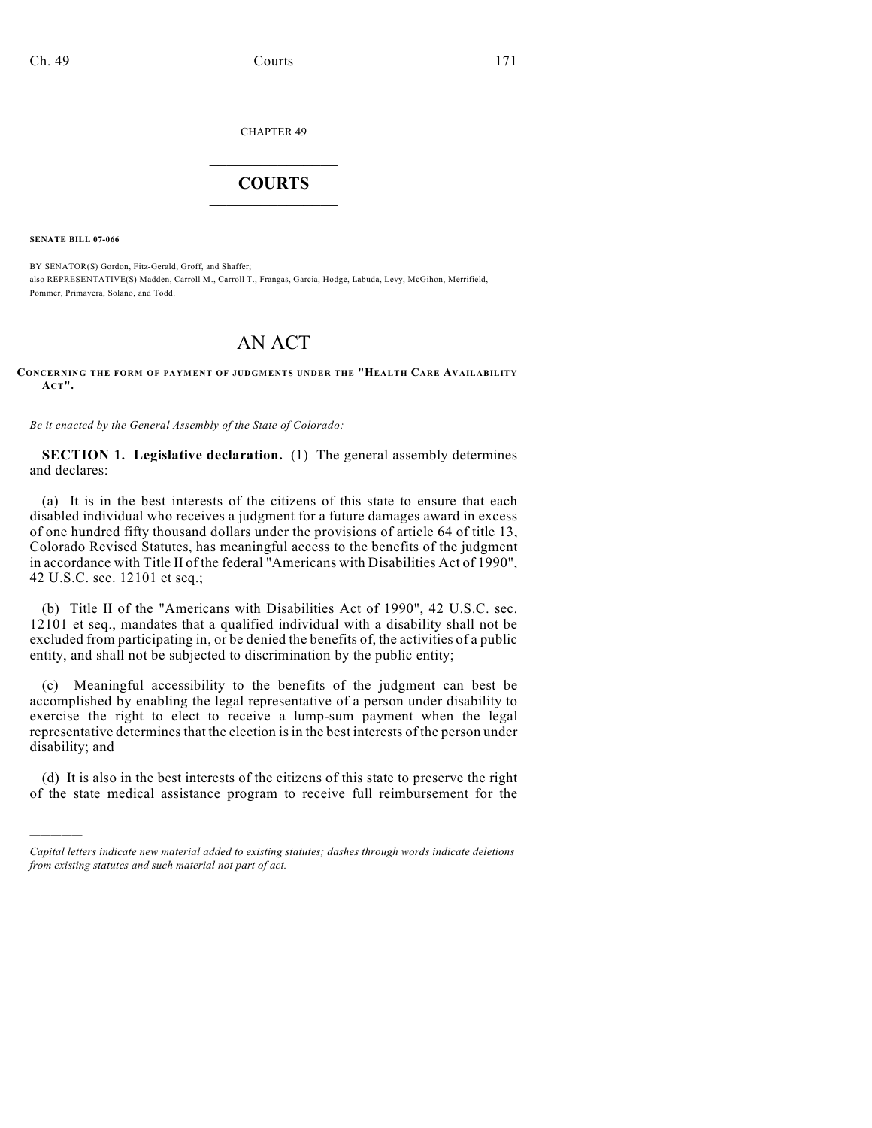CHAPTER 49

## $\overline{\phantom{a}}$  . The set of the set of the set of the set of the set of the set of the set of the set of the set of the set of the set of the set of the set of the set of the set of the set of the set of the set of the set o **COURTS**  $\_$

**SENATE BILL 07-066**

)))))

BY SENATOR(S) Gordon, Fitz-Gerald, Groff, and Shaffer; also REPRESENTATIVE(S) Madden, Carroll M., Carroll T., Frangas, Garcia, Hodge, Labuda, Levy, McGihon, Merrifield, Pommer, Primavera, Solano, and Todd.

## AN ACT

**CONCERNING THE FORM OF PAYMENT OF JUDGMENTS UNDER THE "HEALTH CARE AVAILABILITY ACT".**

*Be it enacted by the General Assembly of the State of Colorado:*

**SECTION 1. Legislative declaration.** (1) The general assembly determines and declares:

(a) It is in the best interests of the citizens of this state to ensure that each disabled individual who receives a judgment for a future damages award in excess of one hundred fifty thousand dollars under the provisions of article 64 of title 13, Colorado Revised Statutes, has meaningful access to the benefits of the judgment in accordance with Title II of the federal "Americans with Disabilities Act of 1990", 42 U.S.C. sec. 12101 et seq.;

(b) Title II of the "Americans with Disabilities Act of 1990", 42 U.S.C. sec. 12101 et seq., mandates that a qualified individual with a disability shall not be excluded from participating in, or be denied the benefits of, the activities of a public entity, and shall not be subjected to discrimination by the public entity;

(c) Meaningful accessibility to the benefits of the judgment can best be accomplished by enabling the legal representative of a person under disability to exercise the right to elect to receive a lump-sum payment when the legal representative determines that the election is in the best interests of the person under disability; and

(d) It is also in the best interests of the citizens of this state to preserve the right of the state medical assistance program to receive full reimbursement for the

*Capital letters indicate new material added to existing statutes; dashes through words indicate deletions from existing statutes and such material not part of act.*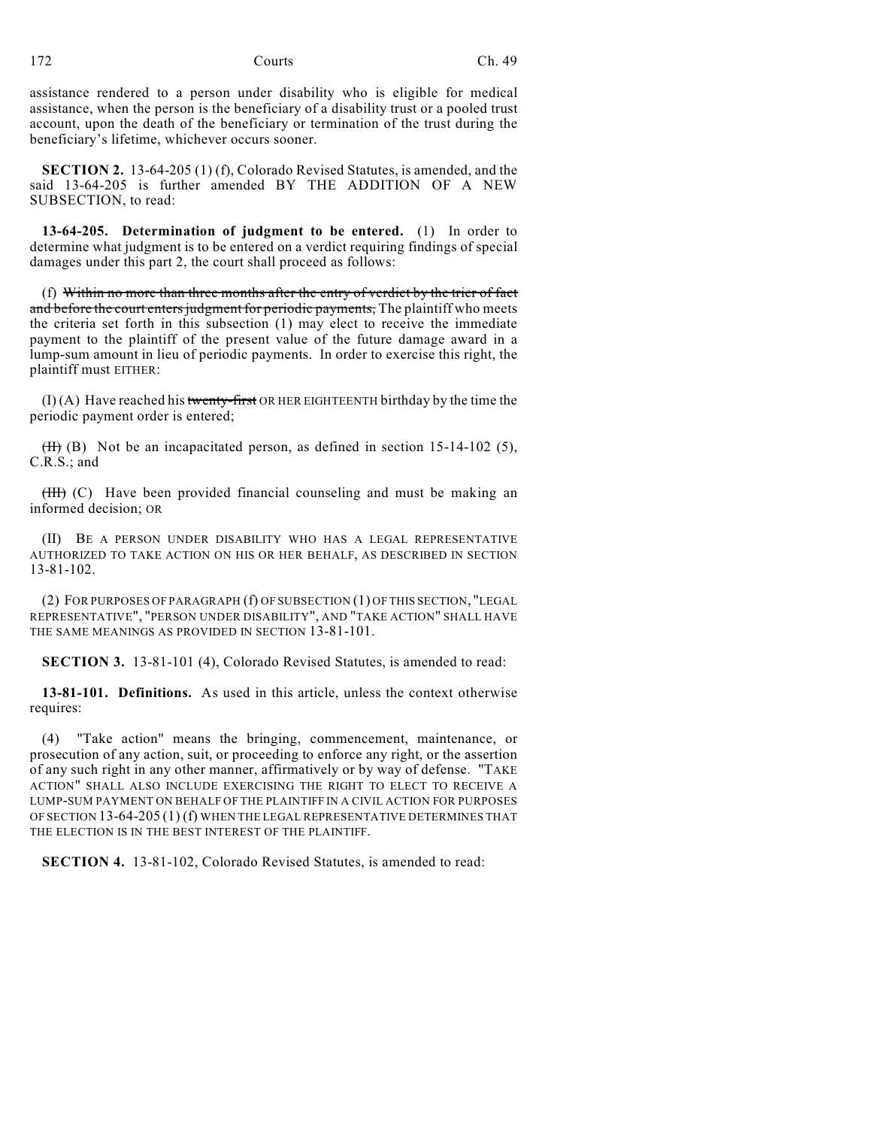## 172 Courts Courts Ch. 49

assistance rendered to a person under disability who is eligible for medical assistance, when the person is the beneficiary of a disability trust or a pooled trust account, upon the death of the beneficiary or termination of the trust during the beneficiary's lifetime, whichever occurs sooner.

**SECTION 2.** 13-64-205 (1) (f), Colorado Revised Statutes, is amended, and the said 13-64-205 is further amended BY THE ADDITION OF A NEW SUBSECTION, to read:

**13-64-205. Determination of judgment to be entered.** (1) In order to determine what judgment is to be entered on a verdict requiring findings of special damages under this part 2, the court shall proceed as follows:

(f) Within no more than three months after the entry of verdict by the trier of fact and before the court enters judgment for periodic payments, The plaintiff who meets the criteria set forth in this subsection (1) may elect to receive the immediate payment to the plaintiff of the present value of the future damage award in a lump-sum amount in lieu of periodic payments. In order to exercise this right, the plaintiff must EITHER:

 $(I)$  (A) Have reached his twenty-first OR HER EIGHTEENTH birthday by the time the periodic payment order is entered;

 $(H)$  (B) Not be an incapacitated person, as defined in section 15-14-102 (5), C.R.S.; and

(III) (C) Have been provided financial counseling and must be making an informed decision; OR

(II) BE A PERSON UNDER DISABILITY WHO HAS A LEGAL REPRESENTATIVE AUTHORIZED TO TAKE ACTION ON HIS OR HER BEHALF, AS DESCRIBED IN SECTION 13-81-102.

(2) FOR PURPOSES OF PARAGRAPH (f) OF SUBSECTION (1) OF THIS SECTION, "LEGAL REPRESENTATIVE", "PERSON UNDER DISABILITY", AND "TAKE ACTION" SHALL HAVE THE SAME MEANINGS AS PROVIDED IN SECTION 13-81-101.

**SECTION 3.** 13-81-101 (4), Colorado Revised Statutes, is amended to read:

**13-81-101. Definitions.** As used in this article, unless the context otherwise requires:

(4) "Take action" means the bringing, commencement, maintenance, or prosecution of any action, suit, or proceeding to enforce any right, or the assertion of any such right in any other manner, affirmatively or by way of defense. "TAKE ACTION" SHALL ALSO INCLUDE EXERCISING THE RIGHT TO ELECT TO RECEIVE A LUMP-SUM PAYMENT ON BEHALF OF THE PLAINTIFF IN A CIVIL ACTION FOR PURPOSES OF SECTION 13-64-205 (1) (f) WHEN THE LEGAL REPRESENTATIVE DETERMINES THAT THE ELECTION IS IN THE BEST INTEREST OF THE PLAINTIFF.

**SECTION 4.** 13-81-102, Colorado Revised Statutes, is amended to read: